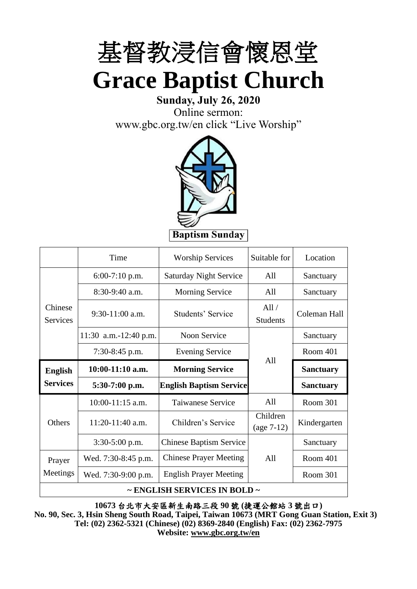

## **Sunday, July 26, 2020**

Online sermon: [www.gbc.org.tw/en](http://www.gbc.org.tw/en) click "Live Worship"



|                            | Time                  | <b>Worship Services</b>        | Suitable for             | Location         |
|----------------------------|-----------------------|--------------------------------|--------------------------|------------------|
|                            | $6:00-7:10$ p.m.      | <b>Saturday Night Service</b>  | All                      | Sanctuary        |
|                            | $8:30-9:40$ a.m.      | <b>Morning Service</b>         | All                      | Sanctuary        |
| Chinese<br><b>Services</b> | $9:30-11:00$ a.m.     | Students' Service              | All /<br><b>Students</b> | Coleman Hall     |
|                            | 11:30 a.m.-12:40 p.m. | Noon Service                   |                          | Sanctuary        |
|                            | $7:30-8:45$ p.m.      | <b>Evening Service</b>         | All                      | Room 401         |
| <b>English</b>             | $10:00-11:10$ a.m.    | <b>Morning Service</b>         |                          | <b>Sanctuary</b> |
| <b>Services</b>            | 5:30-7:00 p.m.        | <b>English Baptism Service</b> |                          | <b>Sanctuary</b> |
|                            | 10:00-11:15 a.m.      | <b>Taiwanese Service</b>       | All                      | Room 301         |
| Others                     | 11:20-11:40 a.m.      | Children's Service             | Children<br>$(age 7-12)$ | Kindergarten     |
|                            | $3:30-5:00$ p.m.      | <b>Chinese Baptism Service</b> |                          | Sanctuary        |
| Prayer                     | Wed. 7:30-8:45 p.m.   | <b>Chinese Prayer Meeting</b>  | All                      | Room 401         |
| Meetings                   | Wed. 7:30-9:00 p.m.   | <b>English Prayer Meeting</b>  |                          | Room 301         |

#### **~ ENGLISH SERVICES IN BOLD ~**

**10673** 台北市大安區新生南路三段 **90** 號 **(**捷運公館站 **3** 號出口**) No. 90, Sec. 3, Hsin Sheng South Road, Taipei, Taiwan 10673 (MRT Gong Guan Station, Exit 3) Tel: (02) 2362-5321 (Chinese) (02) 8369-2840 (English) Fax: (02) 2362-7975 Website: [www.gbc.org.tw/en](http://www.gbc.org.tw/en)**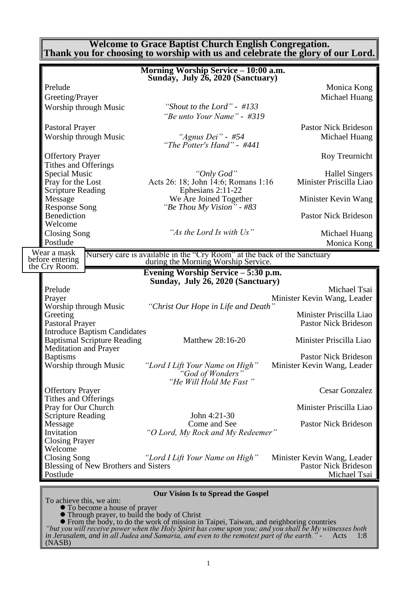#### **Welcome to Grace Baptist Church English Congregation. Thank you for choosing to worship with us and celebrate the glory of our Lord.**

|                                                                    | Morning Worship Service - 10:00 a.m.<br>Sunday, July 26, 2020 (Sanctuary)                                       |                                                            |
|--------------------------------------------------------------------|-----------------------------------------------------------------------------------------------------------------|------------------------------------------------------------|
| Prelude                                                            |                                                                                                                 | Monica Kong                                                |
| Greeting/Prayer                                                    |                                                                                                                 | Michael Huang                                              |
| Worship through Music                                              | "Shout to the Lord" - $\#133$                                                                                   |                                                            |
|                                                                    | "Be unto Your Name" - #319                                                                                      |                                                            |
| Pastoral Prayer                                                    |                                                                                                                 | <b>Pastor Nick Brideson</b>                                |
| Worship through Music                                              | "Agnus Dei" - #54<br>"The Potter's Hand" - #441                                                                 | Michael Huang                                              |
| <b>Offertory Prayer</b><br>Tithes and Offerings                    |                                                                                                                 | Roy Treurnicht                                             |
| <b>Special Music</b>                                               | "Only God"                                                                                                      | <b>Hallel Singers</b>                                      |
| Pray for the Lost<br><b>Scripture Reading</b>                      | Acts 26: 18; John 14:6; Romans 1:16<br>Ephesians 2:11-22                                                        | Minister Priscilla Liao                                    |
| Message<br><b>Response Song</b>                                    | We Are Joined Together<br>"Be Thou My Vision" - #83                                                             | Minister Kevin Wang                                        |
| Benediction<br>Welcome                                             |                                                                                                                 | <b>Pastor Nick Brideson</b>                                |
| Closing Song<br>Postlude                                           | "As the Lord Is with Us"                                                                                        | Michael Huang                                              |
| Wear a mask                                                        |                                                                                                                 | Monica Kong                                                |
| before entering<br>the Cry Room.                                   | Nursery care is available in the "Cry Room" at the back of the Sanctuary<br>during the Morning Worship Service. |                                                            |
|                                                                    | Evening Worship Service – 5:30 p.m.                                                                             |                                                            |
|                                                                    | Sunday, July 26, 2020 (Sanctuary)                                                                               |                                                            |
| Prelude<br>Prayer                                                  |                                                                                                                 | Michael Tsai<br>Minister Kevin Wang, Leader                |
| Worship through Music                                              | "Christ Our Hope in Life and Death"                                                                             |                                                            |
| Greeting<br><b>Pastoral Prayer</b>                                 |                                                                                                                 | Minister Priscilla Liao<br><b>Pastor Nick Brideson</b>     |
| <b>Introduce Baptism Candidates</b>                                |                                                                                                                 |                                                            |
| <b>Baptismal Scripture Reading</b><br><b>Meditation and Prayer</b> | Matthew 28:16-20                                                                                                | Minister Priscilla Liao                                    |
| <b>Baptisms</b>                                                    |                                                                                                                 | <b>Pastor Nick Brideson</b>                                |
| Worship through Music                                              | "Lord I Lift Your Name on High"<br>"God of Wonders"                                                             | Minister Kevin Wang, Leader                                |
|                                                                    | "He Will Hold Me Fast"                                                                                          |                                                            |
| <b>Offertory Prayer</b><br>Tithes and Offerings                    |                                                                                                                 | Cesar Gonzalez                                             |
| Pray for Our Church                                                |                                                                                                                 | Minister Priscilla Liao                                    |
| <b>Scripture Reading</b>                                           | John 4:21-30                                                                                                    |                                                            |
| Message                                                            | Come and See                                                                                                    | <b>Pastor Nick Brideson</b>                                |
| Invitation<br><b>Closing Prayer</b>                                | "O Lord, My Rock and My Redeemer"                                                                               |                                                            |
| Welcome                                                            |                                                                                                                 |                                                            |
| <b>Closing Song</b><br>Blessing of New Brothers and Sisters        | "Lord I Lift Your Name on High"                                                                                 | Minister Kevin Wang, Leader<br><b>Pastor Nick Brideson</b> |
| Postlude                                                           |                                                                                                                 | Michael Tsai                                               |
|                                                                    |                                                                                                                 |                                                            |
| To achieve this, we aim:                                           | <b>Our Vision Is to Spread the Gospel</b>                                                                       |                                                            |
| • To become a house of prayer                                      |                                                                                                                 |                                                            |

⚫ Through prayer, to build the body of Christ

⚫ From the body, to do the work of mission in Taipei, Taiwan, and neighboring countries *"but you will receive power when the Holy Spirit has come upon you; and you shall be My witnesses both in Jerusalem, and in all Judea and Samaria, and even to the remotest part of the earth." -* Acts 1:8 (NASB)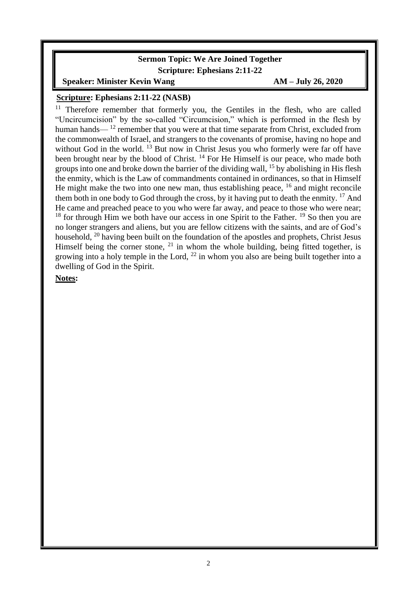### **Sermon Topic: We Are Joined Together Scripture: Ephesians 2:11-22**

**Speaker:** Minister Kevin Wang **AM** – **July 26, 2020** 

#### **Scripture: Ephesians 2:11-22 (NASB)**

Therefore remember that formerly you, the Gentiles in the flesh, who are called "Uncircumcision" by the so-called "Circumcision," which is performed in the flesh by human hands— $12$  remember that you were at that time separate from Christ, excluded from the commonwealth of Israel, and strangers to the covenants of promise, having no hope and without God in the world.  $^{13}$  But now in Christ Jesus you who formerly were far off have been brought near by the blood of Christ.<sup>14</sup> For He Himself is our peace, who made both groups into one and broke down the barrier of the dividing wall, <sup>15</sup> by abolishing in His flesh the enmity, which is the Law of commandments contained in ordinances, so that in Himself He might make the two into one new man, thus establishing peace,  $16$  and might reconcile them both in one body to God through the cross, by it having put to death the enmity.  $^{17}$  And He came and preached peace to you who were far away, and peace to those who were near; <sup>18</sup> for through Him we both have our access in one Spirit to the Father. <sup>19</sup> So then you are no longer strangers and aliens, but you are fellow citizens with the saints, and are of God's household, <sup>20</sup> having been built on the foundation of the apostles and prophets, Christ Jesus Himself being the corner stone,  $21$  in whom the whole building, being fitted together, is growing into a holy temple in the Lord,  $^{22}$  in whom you also are being built together into a dwelling of God in the Spirit.

**Notes:**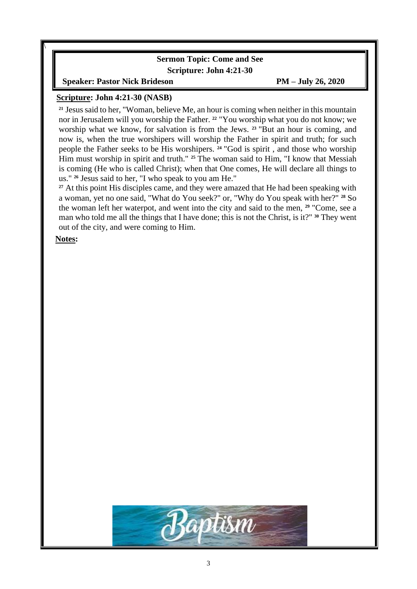### **Sermon Topic: Come and See Scripture: John 4:21-30**

**Speaker: Pastor Nick Brideson PM – July 26, 2020**

#### **Scripture: John 4:21-30 (NASB)**

**<sup>21</sup>** Jesus said to her, "Woman, believe Me, an hour is coming when neither in this mountain nor in Jerusalem will you worship the Father. **<sup>22</sup>** "You worship what you do not know; we worship what we know, for salvation is from the Jews. **<sup>23</sup>** "But an hour is coming, and now is, when the true worshipers will worship the Father in spirit and truth; for such people the Father seeks to be His worshipers. **<sup>24</sup>** "God is spirit , and those who worship Him must worship in spirit and truth." <sup>25</sup> The woman said to Him, "I know that Messiah is coming (He who is called Christ); when that One comes, He will declare all things to us." **<sup>26</sup>** Jesus said to her, "I who speak to you am He."

<sup>27</sup> At this point His disciples came, and they were amazed that He had been speaking with a woman, yet no one said, "What do You seek?" or, "Why do You speak with her?" **<sup>28</sup>** So the woman left her waterpot, and went into the city and said to the men, **<sup>29</sup>** "Come, see a man who told me all the things that I have done; this is not the Christ, is it?" **<sup>30</sup>** They went out of the city, and were coming to Him.

**Notes:**

\

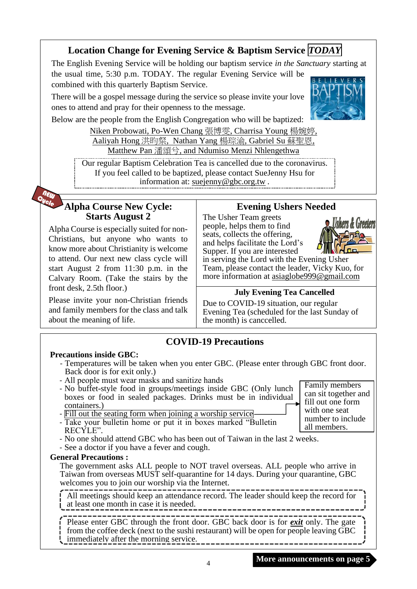## **Location Change for Evening Service & Baptism Service** *TODAY*

The English Evening Service will be holding our baptism service *in the Sanctuary* starting at the usual time, 5:30 p.m. TODAY. The regular Evening Service will be

combined with this quarterly Baptism Service.

There will be a gospel message during the service so please invite your love ones to attend and pray for their openness to the message.



Below are the people from the English Congregation who will be baptized:

Niken Probowati, Po-Wen Chang 張博雯, Charrisa Young 楊婉婷, Aaliyah Hong 洪昀粲, Nathan Yang 楊琮渝, Gabriel Su 蘇聖恩, Matthew Pan 潘頌兮, and Ndumiso Menzi Nhlengethwa

Our regular Baptism Celebration Tea is cancelled due to the coronavirus. If you feel called to be baptized, please contact SueJenny Hsu for information at: [suejenny@gbc.org.tw](mailto:suejenny@gbc.org.tw) *.*

## **Alpha Course New Cycle: Starts August 2**

Alpha Course is especially suited for non-Christians, but anyone who wants to know more about Christianity is welcome to attend. Our next new class cycle will start August 2 from 11:30 p.m. in the Calvary Room. (Take the stairs by the front desk, 2.5th floor.)

Please invite your non-Christian friends and family members for the class and talk about the meaning of life.

## **Evening Ushers Needed**

The Usher Team greets people, helps them to find seats, collects the offering, and helps facilitate the Lord's Supper. If you are interested



in serving the Lord with the Evening Usher Team, please contact the leader, Vicky Kuo, for more information at [asiaglobe999@gmail.com](mailto:asiaglobe999@gmail.com)

## **July Evening Tea Cancelled**

Due to COVID-19 situation, our regular Evening Tea (scheduled for the last Sunday of the month) is canccelled.

## **COVID-19 Precautions**

## **Precautions inside GBC:**

- Temperatures will be taken when you enter GBC. (Please enter through GBC front door. Back door is for exit only.)
- All people must wear masks and sanitize hands
- No buffet-style food in groups/meetings inside GBC (Only lunch boxes or food in sealed packages. Drinks must be in individual containers.)
- Fill out the seating form when joining a worship service
- Take your bulletin home or put it in boxes marked "Bulletin RECYLE".
- No one should attend GBC who has been out of Taiwan in the last 2 weeks.
- See a doctor if you have a fever and cough.

## **General Precautions :**

The government asks ALL people to NOT travel overseas. ALL people who arrive in Taiwan from overseas MUST self-quarantine for 14 days. During your quarantine, GBC welcomes you to join our worship via the Internet.

All meetings should keep an attendance record. The leader should keep the record for at least one month in case it is needed.

Please enter GBC through the front door. GBC back door is for *exit* only. The gate from the coffee deck (next to the sushi restaurant) will be open for people leaving GBC **i** immediately after the morning service.

Family members can sit together and fill out one form with one seat number to include all members.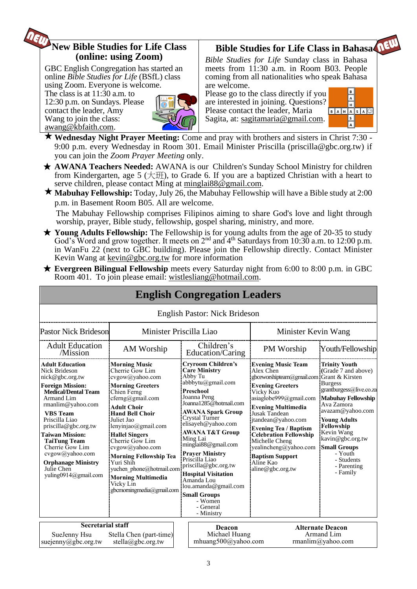## **New Bible Studies for Life Class (online: using Zoom)**

GBC English Congregation has started an online *Bible Studies for Life* (BSfL) class using Zoom. Everyone is welcome.

The class is at 11:30 a.m. to 12:30 p.m. on Sundays. Please contact the leader, Amy Wang to join the class: [awang@kbfaith.com.](mailto:awang@kbfaith.com)



# **Bible Studies for Life Class in Bahasa**

*Bible Studies for Life* Sunday class in Bahasa meets from 11:30 a.m. in Room B03. People coming from all nationalities who speak Bahasa are welcome.

Please go to the class directly if you are interested in joining. Questions? Please contact the leader, Maria Sagita, at: sagitamaria@gmail.com.



**Wednesday Night Prayer Meeting:** Come and pray with brothers and sisters in Christ 7:30 - 9:00 p.m. every Wednesday in Room 301. Email Minister Priscilla (priscilla@gbc.org.tw) if you can join the *Zoom Prayer Meeting* only.

- ★ **AWANA Teachers Needed:** AWANA is our Children's Sunday School Ministry for children from Kindergarten, age 5 ( $\pm \text{H}$ ), to Grade 6. If you are a baptized Christian with a heart to serve children, please contact Ming at minglai $88@$ gmail.com.
- **Mabuhay Fellowship:** Today, July 26, the Mabuhay Fellowship will have a Bible study at 2:00 p.m. in Basement Room B05. All are welcome.

The Mabuhay Fellowship comprises Filipinos aiming to share God's love and light through worship, prayer, Bible study, fellowship, gospel sharing, ministry, and more.

- ★ **Young Adults Fellowship:** The Fellowship is for young adults from the age of 20-35 to study God's Word and grow together. It meets on  $2<sup>nd</sup>$  and  $4<sup>th</sup>$  Saturdays from 10:30 a.m. to 12:00 p.m. in WanFu 22 (next to GBC building). Please join the Fellowship directly. Contact Minister Kevin Wang at kevin@gbc.org.tw for more information
- ★ **Evergreen Bilingual Fellowship** meets every Saturday night from 6:00 to 8:00 p.m. in GBC Room 401. To join please email: [wistlesliang@hotmail.com.](mailto:wistlesliang@hotmail.com)

|                                                                                                                                                                                                                                                                                                                                                                                      |                                                                                                                                                                                                                                                                                                                                                                                                                               | <b>English Congregation Leaders</b>                                                                                                                                                                                                                                                                                                                                                                                                                                    |                                                                                                                                                                                                                                                                                                                                                                                                  |                                                                                                                                                                                                                                                                                                           |
|--------------------------------------------------------------------------------------------------------------------------------------------------------------------------------------------------------------------------------------------------------------------------------------------------------------------------------------------------------------------------------------|-------------------------------------------------------------------------------------------------------------------------------------------------------------------------------------------------------------------------------------------------------------------------------------------------------------------------------------------------------------------------------------------------------------------------------|------------------------------------------------------------------------------------------------------------------------------------------------------------------------------------------------------------------------------------------------------------------------------------------------------------------------------------------------------------------------------------------------------------------------------------------------------------------------|--------------------------------------------------------------------------------------------------------------------------------------------------------------------------------------------------------------------------------------------------------------------------------------------------------------------------------------------------------------------------------------------------|-----------------------------------------------------------------------------------------------------------------------------------------------------------------------------------------------------------------------------------------------------------------------------------------------------------|
|                                                                                                                                                                                                                                                                                                                                                                                      |                                                                                                                                                                                                                                                                                                                                                                                                                               | <b>English Pastor: Nick Brideson</b>                                                                                                                                                                                                                                                                                                                                                                                                                                   |                                                                                                                                                                                                                                                                                                                                                                                                  |                                                                                                                                                                                                                                                                                                           |
| <b>Pastor Nick Brideson</b>                                                                                                                                                                                                                                                                                                                                                          | Minister Priscilla Liao                                                                                                                                                                                                                                                                                                                                                                                                       |                                                                                                                                                                                                                                                                                                                                                                                                                                                                        | Minister Kevin Wang                                                                                                                                                                                                                                                                                                                                                                              |                                                                                                                                                                                                                                                                                                           |
| <b>Adult Education</b><br>/Mission                                                                                                                                                                                                                                                                                                                                                   | AM Worship                                                                                                                                                                                                                                                                                                                                                                                                                    | Children's<br>Education/Caring                                                                                                                                                                                                                                                                                                                                                                                                                                         | PM Worship                                                                                                                                                                                                                                                                                                                                                                                       | Youth/Fellowship                                                                                                                                                                                                                                                                                          |
| <b>Adult Education</b><br><b>Nick Brideson</b><br>nick@gbc.org.tw<br><b>Foreign Mission:</b><br><b>Medical/Dental Team</b><br>Armand Lim<br>rmanlim@yahoo.com<br><b>VBS</b> Team<br>Priscilla Liao<br>priscilla@gbc.org.tw<br><b>Taiwan Mission:</b><br><b>TaiTung Team</b><br>Cherrie Gow Lim<br>cvgow@yahoo.com<br><b>Orphanage Ministry</b><br>Julie Chen<br>yuling0914@gmail.com | <b>Morning Music</b><br>Cherrie Gow Lim<br>cvgow@yahoo.com<br><b>Morning Greeters</b><br>Chien Ferng<br>cferng@gmail.com<br><b>Adult Choir</b><br><b>Hand Bell Choir</b><br>Juliet Jao<br>lenyinjao@gmail.com<br><b>Hallel Singers</b><br>Cherrie Gow Lim<br>cvgow@yahoo.com<br><b>Morning Fellowship Tea</b><br>Yuri Shih<br>yuchen phone@hotmail.com<br><b>Morning Multimedia</b><br>Vicky Lin<br>gbcmorningmedia@gmail.com | <b>Cryroom Children's</b><br><b>Care Ministry</b><br>Abby Tu<br>abbbytu@gmail.com<br>Preschool<br>Joanna Peng<br>Joanna1285@hotmail.com<br><b>AWANA Spark Group</b><br>Crystal Turner<br>elisayeh@yahoo.com<br>AWANA T&T Group<br>Ming Lai<br>minglai88@gmail.com<br><b>Prayer Ministry</b><br>Priscilla Liao<br>priscilla@gbc.org.tw<br><b>Hospital Visitation</b><br>Amanda Lou<br>lou.amanda@gmail.com<br><b>Small Groups</b><br>- Women<br>- General<br>- Ministry | <b>Evening Music Team</b><br>Alex Chen<br>gbceworshipteam@gmail.com Grant & Kirsten<br><b>Evening Greeters</b><br>Vicky Kuo<br>asiaglobe999@gmail.com<br><b>Evening Multimedia</b><br>Jusak Tandean<br>jtandean@yahoo.com<br><b>Evening Tea / Baptism</b><br><b>Celebration Fellowship</b><br>Michelle Cheng<br>yealincheng@yahoo.com<br><b>Baptism Support</b><br>Aline Kao<br>aline@gbc.org.tw | <b>Trinity Youth</b><br>(Grade 7 and above)<br><b>Burgess</b><br>grantburgess@live.co.za<br><b>Mabuhay Fellowship</b><br>Ava Zamora<br>avazam@yahoo.com<br><b>Young Adults</b><br>Fellowship<br>Kevin Wang<br>kavin@gbc.org.tw<br><b>Small Groups</b><br>- Youth<br>- Students<br>- Parenting<br>- Family |
| <b>Secretarial staff</b><br>SueJenny Hsu<br>suejenny@gbc.org.tw                                                                                                                                                                                                                                                                                                                      | Stella Chen (part-time)<br>stella@gbc.org.tw                                                                                                                                                                                                                                                                                                                                                                                  | Deacon<br>Michael Huang<br>mhuang500@yahoo.com                                                                                                                                                                                                                                                                                                                                                                                                                         |                                                                                                                                                                                                                                                                                                                                                                                                  | <b>Alternate Deacon</b><br>Armand Lim<br>rmanlim@yahoo.com                                                                                                                                                                                                                                                |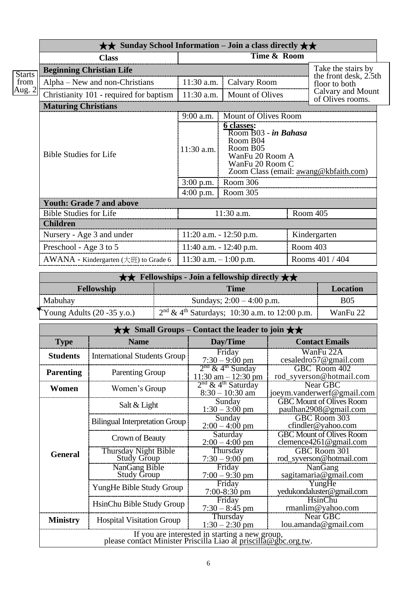|               | $\star\star$ Sunday School Information – Join a class directly $\star\star$ |                                          |                                                                                                                                                                   |          |                                        |
|---------------|-----------------------------------------------------------------------------|------------------------------------------|-------------------------------------------------------------------------------------------------------------------------------------------------------------------|----------|----------------------------------------|
|               | <b>Class</b>                                                                |                                          | Time & Room                                                                                                                                                       |          |                                        |
| <b>Starts</b> | <b>Beginning Christian Life</b>                                             |                                          |                                                                                                                                                                   |          | Take the stairs by                     |
| from          | Alpha – New and non-Christians                                              | 11:30 a.m.                               | <b>Calvary Room</b>                                                                                                                                               |          | the front desk, 2.5th<br>floor to both |
| Aug. $2$      | Christianity 101 - required for baptism                                     | 11:30 a.m.                               | <b>Mount of Olives</b>                                                                                                                                            |          | Calvary and Mount<br>of Olives rooms.  |
|               | <b>Maturing Christians</b>                                                  |                                          |                                                                                                                                                                   |          |                                        |
|               |                                                                             | 9:00 a.m.                                | Mount of Olives Room                                                                                                                                              |          |                                        |
|               | <b>Bible Studies for Life</b>                                               | 11:30 a.m.<br>$3:00$ p.m.<br>$4:00$ p.m. | 6 classes:<br>Room B03 - in Bahasa<br>Room B04<br>Room B05<br>WanFu 20 Room A<br>WanFu 20 Room C<br>Zoom Class (email: awang@kbfaith.com)<br>Room 306<br>Room 305 |          |                                        |
|               | <b>Youth: Grade 7 and above</b>                                             |                                          |                                                                                                                                                                   |          |                                        |
|               | <b>Bible Studies for Life</b>                                               |                                          | 11:30 a.m.                                                                                                                                                        |          | Room 405                               |
|               | <b>Children</b>                                                             |                                          |                                                                                                                                                                   |          |                                        |
|               | Nursery - Age 3 and under                                                   |                                          | $11:20$ a.m. $-12:50$ p.m.                                                                                                                                        |          | Kindergarten                           |
|               | Preschool - Age 3 to 5                                                      |                                          | 11:40 a.m. $- 12:40$ p.m.                                                                                                                                         | Room 403 |                                        |
|               | AWANA - Kindergarten (大班) to Grade 6                                        | 11:30 a.m. $-1:00$ p.m.                  |                                                                                                                                                                   |          | Rooms 401 / 404                        |

| $\star \star$ Fellowships - Join a fellowship directly $\star \star$ |                                                   |            |
|----------------------------------------------------------------------|---------------------------------------------------|------------|
| Fellowship                                                           | <b>Time</b>                                       | Location   |
| Mabuhay                                                              | Sundays; $2:00 - 4:00$ p.m.                       | <b>B05</b> |
| Young Adults $(20 - 35 \text{ y.o.})$                                | $2nd \& 4th Saturdays$ ; 10:30 a.m. to 12:00 p.m. | WanFu 22   |

|                  |                                                                                                                   | $\star\star$ Small Groups – Contact the leader to join $\star\star$ |                                                                |
|------------------|-------------------------------------------------------------------------------------------------------------------|---------------------------------------------------------------------|----------------------------------------------------------------|
| <b>Type</b>      | <b>Name</b>                                                                                                       | Day/Time                                                            | <b>Contact Emails</b>                                          |
| <b>Students</b>  | <b>International Students Group</b>                                                                               | Friday<br>$7:30 - 9:00$ pm                                          | WanFu 22A<br>cesaledro57@gmail.com                             |
| <b>Parenting</b> | <b>Parenting Group</b>                                                                                            | $2nd$ & 4 <sup>th</sup> Sunday<br>$11:30$ am $-12:30$ pm            | GBC Room 402<br>rod_syverson@hotmail.com                       |
| Women            | Women's Group                                                                                                     | $2nd$ & 4 <sup>th</sup> Saturday<br>$8:30 - 10:30$ am               | Near GBC<br>joeym.vanderwerf@gmail.com                         |
|                  | Salt & Light                                                                                                      | Sunday<br>$1:30 - 3:00$ pm                                          | <b>GBC Mount of Olives Room</b><br>paulhan2908@gmail.com       |
|                  | <b>Bilingual Interpretation Group</b>                                                                             | Sunday<br>$2:00 - 4:00$ pm                                          | GBC Room 303<br>cfindler@yahoo.com                             |
|                  | Crown of Beauty                                                                                                   | Saturday<br>$2:00 - 4:00$ pm                                        | <b>GBC Mount of Olives Room</b><br>clemence $4261$ @ gmail.com |
| <b>General</b>   | Thursday Night Bible<br><b>Study Group</b>                                                                        | Thursday<br>$7:30 - 9:00$ pm                                        | GBC Room 301<br>rod_syverson@hotmail.com                       |
|                  | NanGang Bible<br><b>Study Group</b>                                                                               | Friday<br>$7:00 - 9:30$ pm                                          | NanGang<br>sagitamaria@gmail.com                               |
|                  | YungHe Bible Study Group                                                                                          | Friday<br>$7:00-8:30$ pm                                            | YungHe<br>yedukondaluster@gmail.com                            |
|                  | HsinChu Bible Study Group                                                                                         | Friday<br>$7:30 - 8:45$ pm                                          | HsinChu<br>rmanlim@yahoo.com                                   |
| <b>Ministry</b>  | <b>Hospital Visitation Group</b>                                                                                  | Thursday<br>$1:30 - 2:30$ pm                                        | Near GBC<br>lou.amanda@gmail.com                               |
|                  | If you are interested in starting a new group,<br>please contact Minister Priscilla Liao at priscilla@gbc.org.tw. |                                                                     |                                                                |